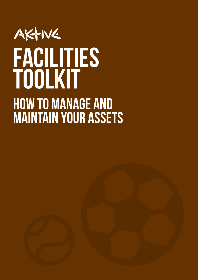### AKTIVE Facilities ToolkiT How to manage and maintain your assets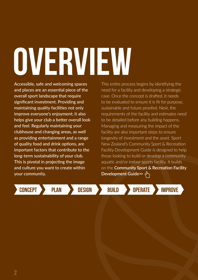# <span id="page-1-0"></span>OVERVIEW

Accessible, safe and welcoming spaces and places are an essential piece of the overall sport landscape that require significant investment. Providing and maintaining quality facilities not only improve everyone's enjoyment; it also helps give your club a better overall look and feel. Regularly maintaining your clubhouse and changing areas, as well as providing entertainment and a range of quality food and drink options, are important factors that contribute to the long-term sustainability of your club. This is pivotal in projecting the image and culture you want to create within your community.

This entire process begins by identifying the need for a facility and developing a strategic case. Once the concept is drafted, it needs to be evaluated to ensure it is fit for purpose, sustainable and future proofed. Next, the requirements of the facility and estimates need to be detailed before any building happens. Managing and measuring the impact of the facility are also important steps to ensure longevity of investment and the asset. Sport New Zealand's Community Sport & Recreation Facility Development Guide is designed to help those looking to build or develop a community aquatic and/or indoor sports facility. It builds on the **Community Sport & Recreation Facility Development Guid[e>>](https://sportnz.org.nz/managing-sport/search-for-a-resource/guides/community-sport-and-recreation-facility-development-guide)** 

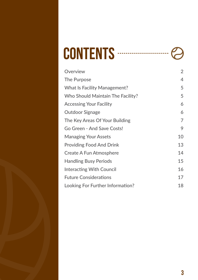| <b>CONTENTS</b> |  |  |
|-----------------|--|--|
|-----------------|--|--|

| Overview                            | $\overline{2}$ |
|-------------------------------------|----------------|
| The Purpose                         | 4              |
| <b>What Is Facility Management?</b> | 5              |
| Who Should Maintain The Facility?   | 5              |
| <b>Accessing Your Facility</b>      | 6              |
| <b>Outdoor Signage</b>              | 6              |
| The Key Areas Of Your Building      | 7              |
| Go Green - And Save Costs!          | 9              |
| <b>Managing Your Assets</b>         | 10             |
| <b>Providing Food And Drink</b>     | 13             |
| <b>Create A Fun Atmosphere</b>      | 14             |
| <b>Handling Busy Periods</b>        | 15             |
| <b>Interacting With Council</b>     | 16             |
| <b>Future Considerations</b>        | 17             |
| Looking For Further Information?    | 18             |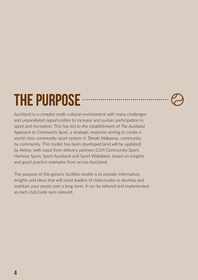### <span id="page-3-0"></span>THE PURPOSE **SECONDITION**

Auckland is a complex multi-cultural environment with many challenges and unparalleled opportunities to increase and sustain participation in sport and recreation. This has led to the establishment of *The Auckland Approach to Community Sport*, a strategic response aiming to create a world-class community sport system in *Tāmaki Makaurau*, community by community. This toolkit has been developed (and will be updated) by Aktive, with input from delivery partners CLM Community Sport, Harbour Sport, Sport Auckland and Sport Waitākere, based on insights and good practice examples from across Auckland.

The purpose of this generic facilities toolkit is to provide information, insights and ideas that will assist leaders of clubs/codes to develop and maintain your assets over a long-term. It can be tailored and implemented as each club/code sees relevant.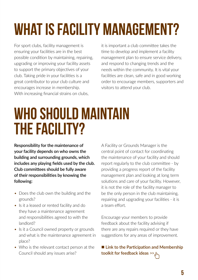### <span id="page-4-0"></span>WHAT IS FACILITY MANAGEMENT?

For sport clubs, facility management is ensuring your facilities are in the best possible condition by maintaining, repairing, upgrading or improving your facility assets to support the primary objectives of your club. Taking pride in your facilities is a great contributor to your club culture and encourages increase in membership. With increasing financial strains on clubs.

it is important a club committee takes the time to develop and implement a facility management plan to ensure service delivery, and respond to changing trends and the needs within the community. It is vital your facilities are clean, safe and in good working order to encourage members, supporters and visitors to attend your club.

### WHO SHOULD MAINTAIN the facility?

**Responsibility for the maintenance of your facility depends on who owns the building and surrounding grounds, which includes any playing fields used by the club. Club committees should be fully aware of their responsibilities by knowing the following:**

- Does the club own the building and the grounds?
- Is it a leased or rented facility and do they have a maintenance agreement and responsibilities agreed to with the landlord?
- Is it a Council owned property or grounds and what is the maintenance agreement in place?
- Who is the relevant contact person at the Council should any issues arise?

A Facility or Grounds Manager is the central point of contact for coordinating the maintenance of your facility and should report regularly to the club committee - by providing a progress report of the facility management plan and looking at long term solutions and care of your facility. However, it is not the role of the facility manager to be the only person in the club maintaining, repairing and upgrading your facilities - it is a team effort.

Encourage your members to provide feedback about the facility advising if there are any repairs required or they have suggestions for any areas of improvement.

■ Link to the Participation and Membership **[toolkit for feedback ideas](http://aktive.org.nz/wp-content/uploads/2019/05/Participation-Membership-Toolkit-May-2019.pdf)** >>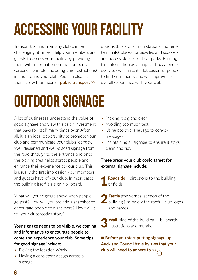### <span id="page-5-0"></span>Accessing your facility

Transport to and from any club can be challenging at times. Help your members and guests to access your facility by providing them with information on the number of carparks available (including time restrictions) in and around your club. You can also let them know their nearest **[public transport](https://at.govt.nz/bus-train-ferry/) >>** 

options (bus stops, train stations and ferry terminals), places for bicycles and scooters and accessible / parent car parks. Printing this information as a map to show a birdseye view will make it a lot easier for people to find your facility and will improve the overall experience with your club.

### Outdoor signage

A lot of businesses understand the value of good signage and view this as an investment that pays for itself many times over. After all, it is an ideal opportunity to promote your club and communicate your club's identity. Well designed and well-placed signage from the road through to the entrance and onto the playing area helps attract people and enhance their experience at your club. This is usually the first impression your members and guests have of your club. In most cases, the building itself is a sign / billboard.

What will your signage show when people go past? How will you provide a snapshot to encourage people to want more? How will it tell your clubs/codes story?

#### **Your signage needs to be visible, welcoming and informative to encourage people to come and experience your club. Some tips for good signage include:**

- Picking the location wisely
- Having a consistent design across all signage
- Making it big and clear
- Avoiding too much text
- Using positive language to convey messages
- Maintaining all signage to ensure it stays clean and tidy

#### **Three areas your club could target for external signage include:**

- **Roadside -** directions to the building or fields
- **Fascia** (the vertical section of the  $\blacktriangle$  building just below the roof) – club logos and names
- **3 Wall** (side of the building) billboards, illustrations and murals.

■ Before you start putting signage up, **[Auckland Council have bylaws that your](https://www.aucklandcouncil.govt.nz/plans-projects-policies-reports-bylaws/bylaws/Pages/signage-bylaw.aspx)  [club will need to adhere to](https://www.aucklandcouncil.govt.nz/plans-projects-policies-reports-bylaws/bylaws/Pages/signage-bylaw.aspx)** >>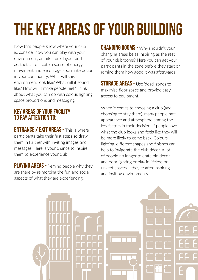### <span id="page-6-0"></span>The key areas of your building

Now that people know where your club is, consider how you can play with your environment, architecture, layout and aesthetics to create a sense of energy, movement and encourage social interaction in your community. What will this environment look like? What will it sound like? How will it make people feel? Think about what you can do with colour, lighting, space proportions and messaging.

#### KEY AREAS OF YOUR FACILITY TO PAY ATTENTION TO:

ENTRANCE / EXIT AREAS - This is where participants take their first steps so draw them in further with inviting images and messages. Here is your chance to inspire them to experience your club

PLAYING AREAS - Remind people why they are there by reinforcing the fun and social aspects of what they are experiencing.

**CHANGING ROOMS - Why shouldn't your** changing areas be as inspiring as the rest of your clubrooms? Here you can get your participants in the zone before they start or remind them how good it was afterwards.

**STORAGE AREAS - Use 'dead' zones to** maximise floor space and provide easy access to equipment.

When it comes to choosing a club (and choosing to stay there), many people rate appearance and atmosphere among the key factors in their decision. If people love what the club looks and feels like they will be more likely to come back. Colours, lighting, different shapes and finishes can help to invigorate the club décor. A lot of people no longer tolerate old décor and poor lighting or play in lifeless or unkept spaces – they're after inspiring and inviting environments.

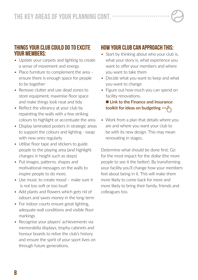#### THINGS YOUR CLUB COULD DO TO EXCITE YOUR MEMBERS:

- Update your carpets and lighting to create a sense of movement and energy
- Place furniture to complement the area ensure there is enough space for people to be together
- Remove clutter and use dead zones to store equipment, maximise floor space and make things look neat and tidy
- Reflect the vibrancy at your club by repainting the walls with a few striking colours to highlight or accentuate the area
- Display laminated posters in strategic areas to support the colours and lighting - swap with new ones regularly
- Utilise floor tape and stickers to guide people to the playing area (and highlight changes in height such as steps)
- Put images, patterns, shapes and motivational messages on the walls to inspire people to do more.
- Use music to create mood make sure it is not too soft or too loud!
- Add plants and flowers which gets rid of odours and saves money in the long-term
- For indoor courts ensure great lighting, adequate wall conditions and visible floor markings
- Recognise your players' achievements via memorabilia displays, trophy cabinets and honour boards to relive the club's history and ensure the spirit of your sport lives on through future generations.

#### HOW YOUR CLUB CAN APPROACH THIS:

- Start by thinking about who your club is, what your story is, what experience you want to offer your members and where you want to take them
- Decide what you want to keep and what you want to change
- Figure out how much you can spend on facility renovations.

■ Link to the Finance and Insurance **[toolkit for ideas on budgeting](http://aktive.org.nz/wp-content/uploads/2019/03/Finance-Insurance-Toolkit-Mar-2019.pdf)** >>

• Work from a plan that details where you are and where you want your club to be with its new design. This may mean renovating in stages.

Determine what should be done first. Go for the most impact for the dollar (the more people to see it the better). By transforming your facility you'll change how your members feel about being in it. This will make them more likely to come back for more and more likely to bring their family, friends and colleagues too.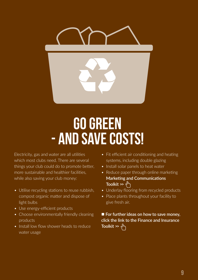<span id="page-8-0"></span>

### Go green - and save costs!

Electricity, gas and water are all utilities which most clubs need. There are several things your club could do to promote better, more sustainable and healthier facilities, while also saving your club money:

- Utilise recycling stations to reuse rubbish, compost organic matter and dispose of light bulbs
- Use energy-efficient products
- Choose environmentally friendly cleaning products
- Install low flow shower heads to reduce water usage
- Fit efficient air conditioning and heating systems, including double glazing
- Install solar panels to heat water
- Reduce paper through online marketing **[Marketing and Communications](http://aktive.org.nz/wp-content/uploads/2018/08/MarketingToolkit_Spreads.pdf)  [Toolkit](http://aktive.org.nz/wp-content/uploads/2018/08/MarketingToolkit_Spreads.pdf) >>**
- Underlay flooring from recycled products
- Place plants throughout your facility to give fresh air.

■ For further ideas on how to save money, **[click the link to the Finance and Insurance](http://aktive.org.nz/wp-content/uploads/2019/03/Finance-Insurance-Toolkit-Mar-2019.pdf)  [Toolkit](http://aktive.org.nz/wp-content/uploads/2019/03/Finance-Insurance-Toolkit-Mar-2019.pdf) >>**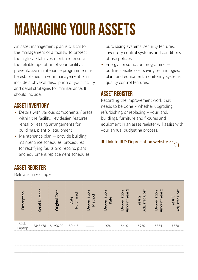### <span id="page-9-0"></span>Managing your assets

An asset management plan is critical to the management of a facility. To protect the high capital investment and ensure the reliable operation of your facility, a preventative maintenance programme must be established. In your management plan include a physical description of your facility and detail strategies for maintenance. It should include:

#### ASSET INVENTORY

ASSET REGISTER

Below is an example

- Details with various components / areas within the facility, key design features, rental or leasing arrangements for buildings, plant or equipment
- Maintenance plan provide building maintenance schedules, procedures for rectifying faults and repairs, plant and equipment replacement schedules,

purchasing systems, security features, inventory control systems and conditions of use policies

• Energy consumption programme – outline specific cost saving technologies, plant and equipment monitoring systems, quality control features.

#### ASSET REGISTER

Recording the improvement work that needs to be done – whether upgrading, refurbishing or replacing – your land, buildings, furniture and fixtures and equipment in an asset register will assist with your annual budgeting process.

#### **n** [Link to IRD Depreciation website](https://www.ird.govt.nz/business-income-tax/depreciation/)  $\geq \sqrt{n}$

| Description    | Serial Number | <b>Original Cost</b> | Purchased<br>Date | Depreciation<br>Method | Depreciation<br>Rate | Amount Year 1<br>Depreciation | <b>Adjusted Cost</b><br>Year <sub>2</sub> | Amount Year 2<br>Depreciation | <b>Adjusted Cost</b><br>Year <sub>3</sub> |
|----------------|---------------|----------------------|-------------------|------------------------|----------------------|-------------------------------|-------------------------------------------|-------------------------------|-------------------------------------------|
| Club<br>Laptop | 2345678       | \$1600.00            | 5/4/18            |                        | 40%                  | \$640                         | \$960                                     | \$384                         | \$576                                     |
|                |               |                      |                   |                        |                      |                               |                                           |                               |                                           |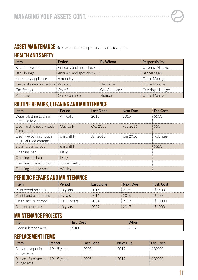#### ASSET MAINTENANCE Below is an example maintenance plan:

#### HEALTH AND SAFETY

| Item                                    | Period                  | By Whom            | <b>Responsibility</b>   |
|-----------------------------------------|-------------------------|--------------------|-------------------------|
| Kitchen hygiene                         | Annually and spot check |                    | <b>Catering Manager</b> |
| Bar / lounge                            | Annually and spot check |                    | <b>Bar Manager</b>      |
| Fire safety appliances                  | 6 monthly               |                    | Office Manager          |
| Electrical safety inspection   Annually |                         | <b>Electrician</b> | <b>Office Manager</b>   |
| Gas fittings                            | On refill               | <b>Gas Company</b> | <b>Catering Manager</b> |
| Plumbing                                | On occurrence           | Plumber            | <b>Office Manager</b>   |

#### ROUTINE REPAIRS, CLEANING AND MAINTENANCE

| <b>Item</b>                                      | Period       | <b>Last Done</b> | <b>Next Due</b> | Est. Cost |
|--------------------------------------------------|--------------|------------------|-----------------|-----------|
| Water blasting to clean<br>entrance to club      | Annually     | 2015             | 2016            | \$500     |
| Clean and remove weeds<br>from garden            | Quarterly    | Oct 2015         | Feb 2016        | \$50      |
| Clean welcoming notice<br>board at road entrance | 6 monthly    | Jan 2015         | Jun 2016        | Volunteer |
| Steam clean carpet                               | 6 monthly    |                  |                 | \$350     |
| Cleaning: bar                                    | Daily        |                  |                 |           |
| Cleaning: kitchen                                | Daily        |                  |                 |           |
| Cleaning: changing rooms                         | Twice weekly |                  |                 |           |
| Cleaning: lounge area                            | Weekly       |                  |                 |           |

#### PERIODIC REPAIRS AND MAINTENANCE

| ltem                   | Period        | Last Done | <b>Next Due</b> | Est. Cost |
|------------------------|---------------|-----------|-----------------|-----------|
| Paint wood on deck     | 10 years      | 2015      | 2025            | \$6500    |
| Paint handrail on ramp | 5 years       | 2011      | 2016            | \$500     |
| Clean and paint roof   | $10-15$ years | 2004      | 2017            | \$10000   |
| Repaint foyer area     | 10 years      | 2007      | 2017            | \$1000    |

#### MAINTENANCE PROJECTS

| Item                 | <b>Est. Cost</b> | <b>When</b>                      |
|----------------------|------------------|----------------------------------|
| Door in kitchen area | \$400            | $\rightarrow$ 201 $^{-}$<br>LVI. |

#### REPLACEMENT ITEMS

| Item                                                        | Period        | Last Done | <b>Next Due</b> | Est. Cost |
|-------------------------------------------------------------|---------------|-----------|-----------------|-----------|
| Replace carpet in<br>lounge area                            | $10-15$ years | 2005      | 2019            | \$20000   |
| Replace furniture in $\parallel$ 10-15 years<br>lounge area |               | 2005      | 2019            | \$20000   |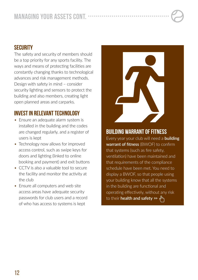#### **SECURITY**

The safety and security of members should be a top priority for any sports facility. The ways and means of protecting facilities are constantly changing thanks to technological advances and risk management methods. Design with safety in mind – consider security lighting and sensors to protect the building and also members, creating light open planned areas and carparks.

#### INVEST IN RELEVANT TECHNOLOGY

- Ensure an adequate alarm system is installed in the building and the codes are changed regularly, and a register of users is kept
- Technology now allows for improved access control, such as swipe keys for doors and lighting (linked to online booking and payment) and exit buttons
- CCTV is also a valuable tool to secure the facility and monitor the activity at the club
- Ensure all computers and web site access areas have adequate security passwords for club users and a record of who has access to systems is kept



#### BUILDING WARRANT OF FITNESS

Every year your club will need a **[building](https://www.aucklandcouncil.govt.nz/plans-projects-policies-reports-bylaws/bylaws/Pages/signage-bylaw.aspx)  [warrant of fitness](https://www.aucklandcouncil.govt.nz/plans-projects-policies-reports-bylaws/bylaws/Pages/signage-bylaw.aspx)** (BWOF) to confirm that systems (such as fire safety, ventilation) have been maintained and that requirements of the compliance schedule have been met. You need to display a BWOF, so that people using your building know that all the systems in the building are functional and operating effectively, without any risk to their **[health and safety](https://www.aucklandcouncil.govt.nz/building-and-consents/commercial-building-systems/Pages/building-warrant-of-fitness.aspx) >>**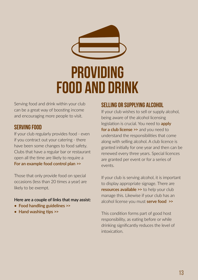<span id="page-12-0"></span>

### Providing food and drink

Serving food and drink within your club can be a great way of boosting income and encouraging more people to visit.

#### SERVING FOOD

If your club regularly provides food - even if you contract out your catering - there have been some changes to food safety. Clubs that have a regular bar or restaurant open all the time are likely to require a **[For an example food control plan](https://www.mpi.govt.nz/food-safety/food-act-2014/food-control-plans/) >>**

Those that only provide food on special occasions (less than 20 times a year) are likely to be exempt.

#### **Here are a couple of links that may assist:**

- **[Food handling guidelines](http://www.foodstandards.govt.nz/consumer/safety/faqsafety/Pages/default.aspx) >>**
- **[Hand washing tips](https://www.healthnavigator.org.nz/healthy-living/tips-for-healthy-living/h/hand-washing/#Resources) >>**

#### SELLING OR SUPPLYING ALCOHOL

If your club wishes to sell or supply alcohol, being aware of the alcohol licensing legislation is crucial. You need to **[apply](https://www.aucklandcouncil.govt.nz/licences-regulations/business-licences/alcohol-licences-fines/open-business-sells-alcohol/Pages/default.aspx)  [for a club license](https://www.aucklandcouncil.govt.nz/licences-regulations/business-licences/alcohol-licences-fines/open-business-sells-alcohol/Pages/default.aspx) >>** and you need to understand the responsibilities that come along with selling alcohol. A club licence is granted initially for one year and then can be renewed every three years. Special licences are granted per event or for a series of events.

If your club is serving alcohol, it is important to display appropriate signage. There are **[resources available](https://www.alcohol.org.nz/management-laws/managing-alcohol/alcohol-in-clubs) >>** to help your club manage this. Likewise if your club has an alcohol license you must **[serve food](https://www.aucklandcouncil.govt.nz/licences-regulations/business-licences/alcohol-licences-fines/open-business-sells-alcohol/Pages/food-in-licenced-business-sites-clubs.aspx) >>**

This condition forms part of good host responsibility, as eating before or while drinking significantly reduces the level of intoxication.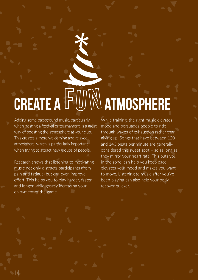## <span id="page-13-0"></span>CREATE A FUNN ATMOSPHERE

Adding some background music, particularly when hosting a festival or tournament, is a great way of boosting the atmosphere at your club. This creates a more welcoming and relaxed atmosphere, which is particularly important when trying to attract new groups of people.

Research shows that listening to motivating music not only distracts participants (from pain and fatigue) but can even improve effort. This helps you to play harder, faster and longer while greatly increasing your enjoyment of the game.

While training, the right music elevates mood and persuades people to ride through waves of exhaustion rather than giving up. Songs that have between 120 and 140 beats per minute are generally considered the sweet spot – so as long as they mirror your heart rate. This puts you in the zone, can help you keep pace, elevates your mood and makes you want to move. Listening to music after you've been playing can also help your body recover quicker.

14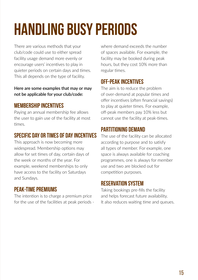### <span id="page-14-0"></span>Handling busy periods

There are various methods that your club/code could use to either spread facility usage demand more evenly or encourage users' incentives to play in quieter periods on certain days and times. This all depends on the type of facility.

**Here are some examples that may or may not be applicable for your club/code:**

#### MEMBERSHIP INCENTIVES

Paying an annual membership fee allows the user to gain use of the facility at most times.

#### SPECIFIC DAY OR TIMES OF DAY INCENTIVES

This approach is now becoming more widespread. Membership options may allow for set times of day, certain days of the week or months of the year. For example, weekend memberships to only have access to the facility on Saturdays and Sundays.

#### PEAK-TIME PREMIUMS

The intention is to charge a premium price for the use of the facilities at peak periods - where demand exceeds the number of spaces available. For example, the facility may be booked during peak hours, but they cost 10% more than regular times.

#### OFF-PEAK INCENTIVES

The aim is to reduce the problem of over-demand at popular times and offer incentives (often financial savings) to play at quieter times. For example, off-peak members pay 10% less but cannot use the facility at peak-times.

#### PARTITIONING DEMAND

The use of the facility can be allocated according to purpose and to satisfy all types of member. For example, one space is always available for coaching programmes, one is always for member use and two are blocked out for competition purposes.

#### RESERVATION SYSTEM

Taking bookings pre-fills the facility and helps forecast future availability. It also reduces waiting time and queues.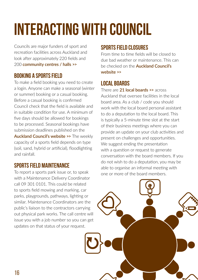### <span id="page-15-0"></span>Interacting with Council

Councils are major funders of sport and recreation facilities across Auckland and look after approximately 220 fields and 200 **[community centres / halls](https://bookings.aucklandcouncil.govt.nz/facilities) >>**

#### BOOKING A SPORTS FIELD

To make a field booking you need to create a login. Anyone can make a seasonal (winter or summer) booking or a casual booking. Before a casual booking is confirmed Council check that the field is available and in suitable condition for use. A minimum of five days should be allowed for bookings to be processed. Seasonal bookings have submission deadlines published on the **[Auckland Council's website](https://www.aucklandcouncil.govt.nz/parks-recreation/sports/Pages/booking-sport-facilities.aspx) >>** The weekly capacity of a sports field depends on type (soil, sand, hybrid or artificial), floodlighting and rainfall.

#### SPORTS FIELD MAINTENANCE

To report a sports park issue or, to speak with a Maintenance Delivery Coordinator call 09 301 0101. This could be related to sports field mowing and marking, car parks, playgrounds, pathways, lighting or similar. Maintenance Coordinators are the public's liaison to the contractors carrying out physical park works. The call centre will issue you with a job number so you can get updates on that status of your request.

#### SPORTS FIELD CLOSURES

From time to time fields will be closed to due bad weather or maintenance. This can be checked on the **[Auckland Council's](https://www.aucklandcouncil.govt.nz/parks-recreation/sports/Pages/booking-sport-facilities.aspx)  [website](https://www.aucklandcouncil.govt.nz/parks-recreation/sports/Pages/booking-sport-facilities.aspx) >>**

#### LOCAL BOARDS

There are **[21 local boards](https://www.aucklandcouncil.govt.nz/about-auckland-council/how-auckland-council-works/local-boards/Pages/find-local-board.aspx) >>** across Auckland that oversee facilities in the local board area. As a club / code you should work with the local board personal assistant to do a deputation to the local board. This is typically a 5-minute time slot at the start of their business meetings where you can provide an update on your club activities and present on challenges and opportunities. We suggest ending the presentation with a question or request to generate conversation with the board members. If you do not wish to do a deputation, you may be able to organise an informal meeting with one or more of the board members.

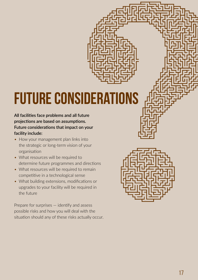### <span id="page-16-0"></span>Future considerations

**All facilities face problems and all future projections are based on assumptions. Future considerations that impact on your facility include:**

- How your management plan links into the strategic or long-term vision of your organisation
- What resources will be required to determine future programmes and directions
- What resources will be required to remain competitive in a technological sense
- What building extensions, modifications or upgrades to your facility will be required in the future

Prepare for surprises — identify and assess possible risks and how you will deal with the situation should any of these risks actually occur.